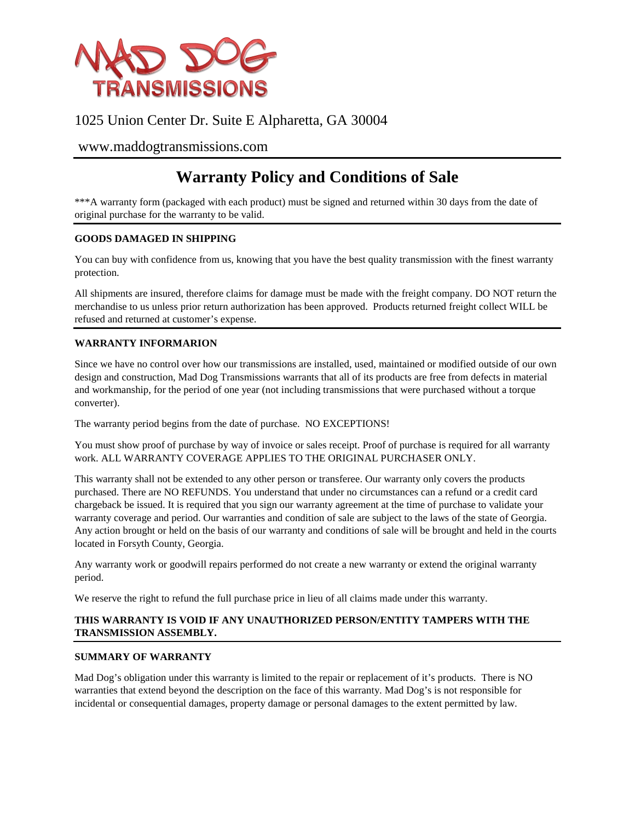

## 1025 Union Center Dr. Suite E Alpharetta, GA 30004

### [www.maddogtransmissions.com](http://www.maddogtransmissions.com/)

# **Warranty Policy and Conditions of Sale**

\*\*\*A warranty form (packaged with each product) must be signed and returned within 30 days from the date of original purchase for the warranty to be valid.

#### **GOODS DAMAGED IN SHIPPING**

You can buy with confidence from us, knowing that you have the best quality transmission with the finest warranty protection.

All shipments are insured, therefore claims for damage must be made with the freight company. DO NOT return the merchandise to us unless prior return authorization has been approved. Products returned freight collect WILL be refused and returned at customer's expense.

#### **WARRANTY INFORMARION**

Since we have no control over how our transmissions are installed, used, maintained or modified outside of our own design and construction, Mad Dog Transmissions warrants that all of its products are free from defects in material and workmanship, for the period of one year (not including transmissions that were purchased without a torque converter).

The warranty period begins from the date of purchase. NO EXCEPTIONS!

You must show proof of purchase by way of invoice or sales receipt. Proof of purchase is required for all warranty work. ALL WARRANTY COVERAGE APPLIES TO THE ORIGINAL PURCHASER ONLY.

This warranty shall not be extended to any other person or transferee. Our warranty only covers the products purchased. There are NO REFUNDS. You understand that under no circumstances can a refund or a credit card chargeback be issued. It is required that you sign our warranty agreement at the time of purchase to validate your warranty coverage and period. Our warranties and condition of sale are subject to the laws of the state of Georgia. Any action brought or held on the basis of our warranty and conditions of sale will be brought and held in the courts located in Forsyth County, Georgia.

Any warranty work or goodwill repairs performed do not create a new warranty or extend the original warranty period.

We reserve the right to refund the full purchase price in lieu of all claims made under this warranty.

#### **THIS WARRANTY IS VOID IF ANY UNAUTHORIZED PERSON/ENTITY TAMPERS WITH THE TRANSMISSION ASSEMBLY.**

#### **SUMMARY OF WARRANTY**

Mad Dog's obligation under this warranty is limited to the repair or replacement of it's products. There is NO warranties that extend beyond the description on the face of this warranty. Mad Dog's is not responsible for incidental or consequential damages, property damage or personal damages to the extent permitted by law.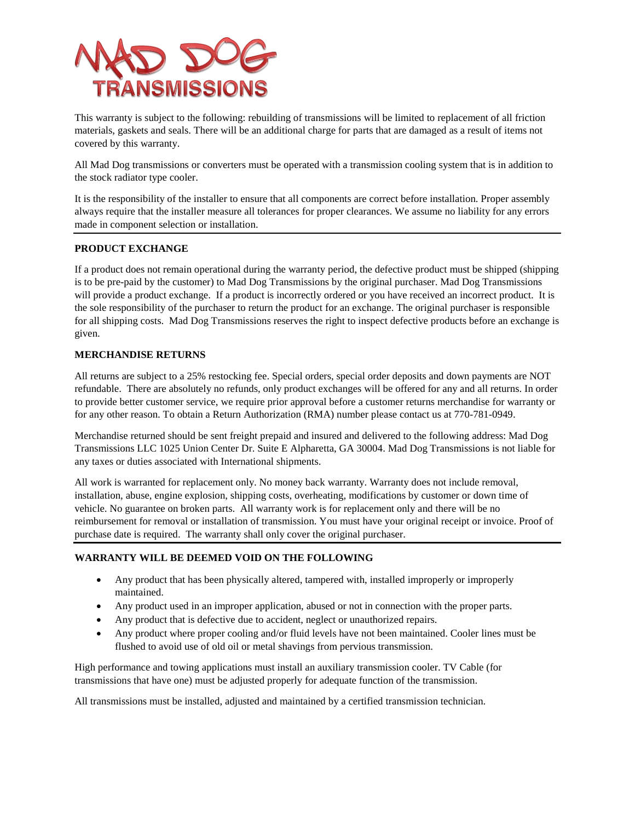

This warranty is subject to the following: rebuilding of transmissions will be limited to replacement of all friction materials, gaskets and seals. There will be an additional charge for parts that are damaged as a result of items not covered by this warranty.

All Mad Dog transmissions or converters must be operated with a transmission cooling system that is in addition to the stock radiator type cooler.

It is the responsibility of the installer to ensure that all components are correct before installation. Proper assembly always require that the installer measure all tolerances for proper clearances. We assume no liability for any errors made in component selection or installation.

#### **PRODUCT EXCHANGE**

If a product does not remain operational during the warranty period, the defective product must be shipped (shipping is to be pre-paid by the customer) to Mad Dog Transmissions by the original purchaser. Mad Dog Transmissions will provide a product exchange. If a product is incorrectly ordered or you have received an incorrect product. It is the sole responsibility of the purchaser to return the product for an exchange. The original purchaser is responsible for all shipping costs. Mad Dog Transmissions reserves the right to inspect defective products before an exchange is given.

#### **MERCHANDISE RETURNS**

All returns are subject to a 25% restocking fee. Special orders, special order deposits and down payments are NOT refundable. There are absolutely no refunds, only product exchanges will be offered for any and all returns. In order to provide better customer service, we require prior approval before a customer returns merchandise for warranty or for any other reason. To obtain a Return Authorization (RMA) number please contact us at 770-781-0949.

Merchandise returned should be sent freight prepaid and insured and delivered to the following address: Mad Dog Transmissions LLC 1025 Union Center Dr. Suite E Alpharetta, GA 30004. Mad Dog Transmissions is not liable for any taxes or duties associated with International shipments.

All work is warranted for replacement only. No money back warranty. Warranty does not include removal, installation, abuse, engine explosion, shipping costs, overheating, modifications by customer or down time of vehicle. No guarantee on broken parts. All warranty work is for replacement only and there will be no reimbursement for removal or installation of transmission. You must have your original receipt or invoice. Proof of purchase date is required. The warranty shall only cover the original purchaser.

#### **WARRANTY WILL BE DEEMED VOID ON THE FOLLOWING**

- Any product that has been physically altered, tampered with, installed improperly or improperly maintained.
- Any product used in an improper application, abused or not in connection with the proper parts.
- Any product that is defective due to accident, neglect or unauthorized repairs.
- Any product where proper cooling and/or fluid levels have not been maintained. Cooler lines must be flushed to avoid use of old oil or metal shavings from pervious transmission.

High performance and towing applications must install an auxiliary transmission cooler. TV Cable (for transmissions that have one) must be adjusted properly for adequate function of the transmission.

All transmissions must be installed, adjusted and maintained by a certified transmission technician.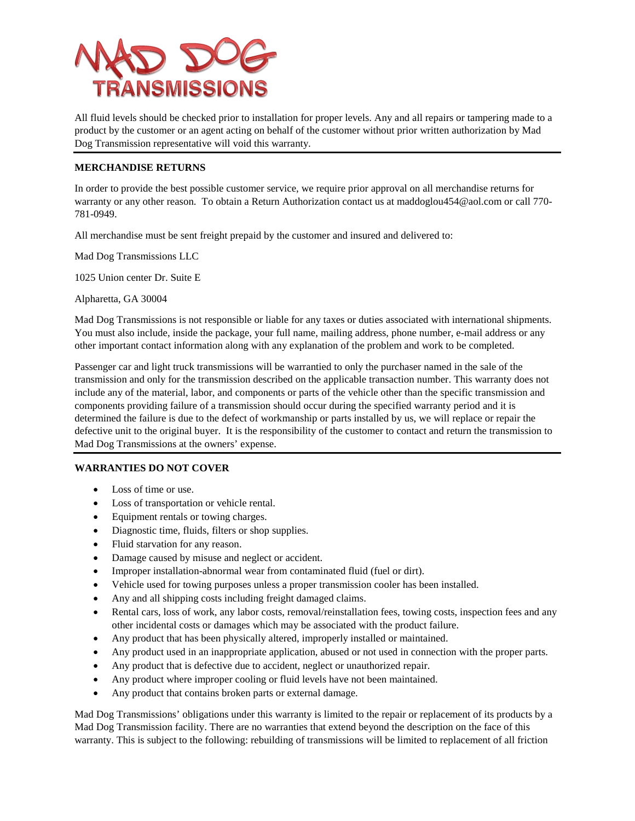

All fluid levels should be checked prior to installation for proper levels. Any and all repairs or tampering made to a product by the customer or an agent acting on behalf of the customer without prior written authorization by Mad Dog Transmission representative will void this warranty.

#### **MERCHANDISE RETURNS**

In order to provide the best possible customer service, we require prior approval on all merchandise returns for warranty or any other reason. To obtain a Return Authorization contact us a[t maddoglou454@aol.com](mailto:maddoglou454@aol.com) or call 770- 781-0949.

All merchandise must be sent freight prepaid by the customer and insured and delivered to:

Mad Dog Transmissions LLC

1025 Union center Dr. Suite E

Alpharetta, GA 30004

Mad Dog Transmissions is not responsible or liable for any taxes or duties associated with international shipments. You must also include, inside the package, your full name, mailing address, phone number, e-mail address or any other important contact information along with any explanation of the problem and work to be completed.

Passenger car and light truck transmissions will be warrantied to only the purchaser named in the sale of the transmission and only for the transmission described on the applicable transaction number. This warranty does not include any of the material, labor, and components or parts of the vehicle other than the specific transmission and components providing failure of a transmission should occur during the specified warranty period and it is determined the failure is due to the defect of workmanship or parts installed by us, we will replace or repair the defective unit to the original buyer. It is the responsibility of the customer to contact and return the transmission to Mad Dog Transmissions at the owners' expense.

#### **WARRANTIES DO NOT COVER**

- Loss of time or use.
- Loss of transportation or vehicle rental.
- Equipment rentals or towing charges.
- Diagnostic time, fluids, filters or shop supplies.
- Fluid starvation for any reason.
- Damage caused by misuse and neglect or accident.
- Improper installation-abnormal wear from contaminated fluid (fuel or dirt).
- Vehicle used for towing purposes unless a proper transmission cooler has been installed.
- Any and all shipping costs including freight damaged claims.
- Rental cars, loss of work, any labor costs, removal/reinstallation fees, towing costs, inspection fees and any other incidental costs or damages which may be associated with the product failure.
- Any product that has been physically altered, improperly installed or maintained.
- Any product used in an inappropriate application, abused or not used in connection with the proper parts.
- Any product that is defective due to accident, neglect or unauthorized repair.
- Any product where improper cooling or fluid levels have not been maintained.
- Any product that contains broken parts or external damage.

Mad Dog Transmissions' obligations under this warranty is limited to the repair or replacement of its products by a Mad Dog Transmission facility. There are no warranties that extend beyond the description on the face of this warranty. This is subject to the following: rebuilding of transmissions will be limited to replacement of all friction